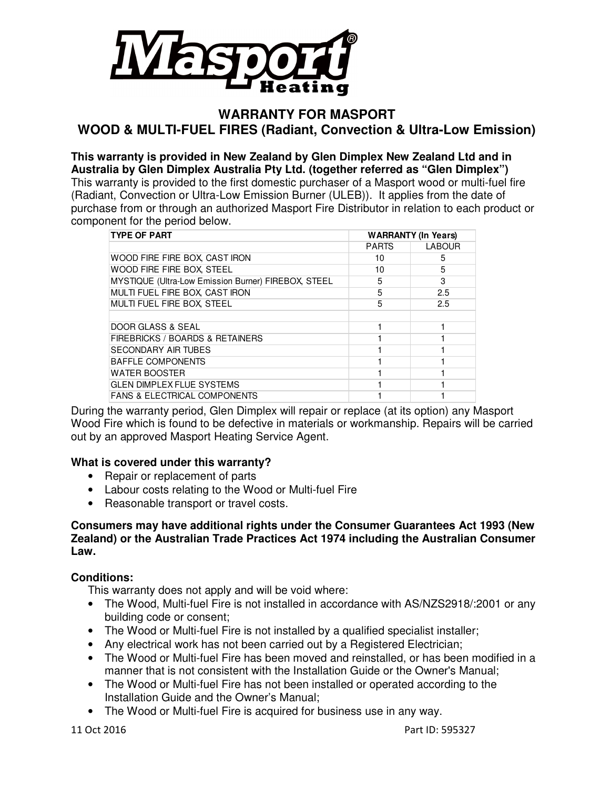

#### **WARRANTY FOR MASPORT WOOD & MULTI-FUEL FIRES (Radiant, Convection & Ultra-Low Emission)**

**This warranty is provided in New Zealand by Glen Dimplex New Zealand Ltd and in Australia by Glen Dimplex Australia Pty Ltd. (together referred as "Glen Dimplex")**  This warranty is provided to the first domestic purchaser of a Masport wood or multi-fuel fire (Radiant, Convection or Ultra-Low Emission Burner (ULEB)). It applies from the date of purchase from or through an authorized Masport Fire Distributor in relation to each product or component for the period below.

| <b>TYPE OF PART</b>                                        | <b>WARRANTY (In Years)</b> |               |
|------------------------------------------------------------|----------------------------|---------------|
|                                                            | <b>PARTS</b>               | <b>LABOUR</b> |
| WOOD FIRE FIRE BOX, CAST IRON                              | 10                         | 5             |
| WOOD FIRE FIRE BOX, STEEL                                  | 10                         | 5             |
| <b>MYSTIQUE (Ultra-Low Emission Burner) FIREBOX, STEEL</b> | 5                          | 3             |
| MULTI FUEL FIRE BOX, CAST IRON                             | 5                          | 2.5           |
| MULTI FUEL FIRE BOX, STEEL                                 | 5                          | 2.5           |
|                                                            |                            |               |
| DOOR GLASS & SEAL                                          |                            |               |
| FIREBRICKS / BOARDS & RETAINERS                            |                            |               |
| <b>SECONDARY AIR TUBES</b>                                 |                            |               |
| <b>BAFFLE COMPONENTS</b>                                   |                            |               |
| <b>WATER BOOSTER</b>                                       |                            |               |
| <b>GLEN DIMPLEX FLUE SYSTEMS</b>                           |                            |               |
| <b>FANS &amp; ELECTRICAL COMPONENTS</b>                    |                            |               |

During the warranty period, Glen Dimplex will repair or replace (at its option) any Masport Wood Fire which is found to be defective in materials or workmanship. Repairs will be carried out by an approved Masport Heating Service Agent.

#### **What is covered under this warranty?**

- Repair or replacement of parts
- Labour costs relating to the Wood or Multi-fuel Fire
- Reasonable transport or travel costs.

#### **Consumers may have additional rights under the Consumer Guarantees Act 1993 (New Zealand) or the Australian Trade Practices Act 1974 including the Australian Consumer Law.**

#### **Conditions:**

This warranty does not apply and will be void where:

- The Wood, Multi-fuel Fire is not installed in accordance with AS/NZS2918/:2001 or any building code or consent;
- The Wood or Multi-fuel Fire is not installed by a qualified specialist installer;
- Any electrical work has not been carried out by a Registered Electrician;
- The Wood or Multi-fuel Fire has been moved and reinstalled, or has been modified in a manner that is not consistent with the Installation Guide or the Owner's Manual;
- The Wood or Multi-fuel Fire has not been installed or operated according to the Installation Guide and the Owner's Manual;
- The Wood or Multi-fuel Fire is acquired for business use in any way.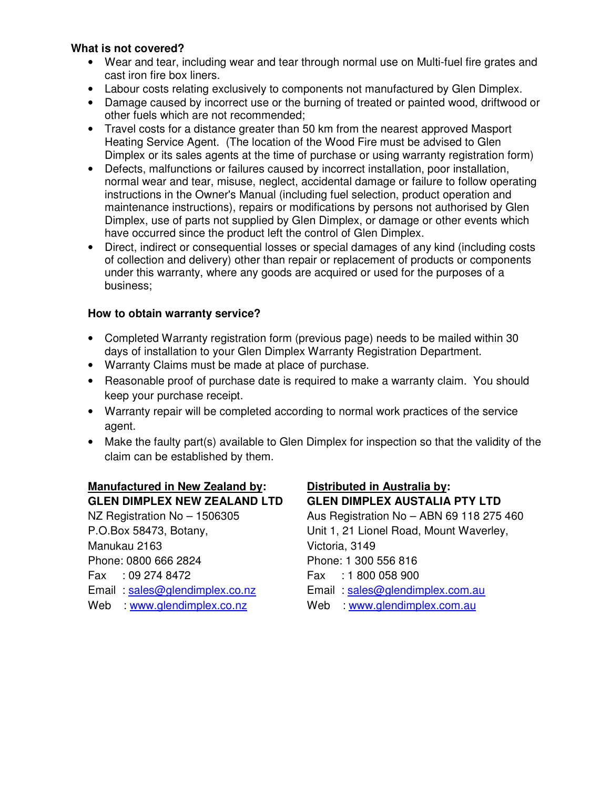#### **What is not covered?**

- Wear and tear, including wear and tear through normal use on Multi-fuel fire grates and cast iron fire box liners.
- Labour costs relating exclusively to components not manufactured by Glen Dimplex.
- Damage caused by incorrect use or the burning of treated or painted wood, driftwood or other fuels which are not recommended;
- Travel costs for a distance greater than 50 km from the nearest approved Masport Heating Service Agent. (The location of the Wood Fire must be advised to Glen Dimplex or its sales agents at the time of purchase or using warranty registration form)
- Defects, malfunctions or failures caused by incorrect installation, poor installation, normal wear and tear, misuse, neglect, accidental damage or failure to follow operating instructions in the Owner's Manual (including fuel selection, product operation and maintenance instructions), repairs or modifications by persons not authorised by Glen Dimplex, use of parts not supplied by Glen Dimplex, or damage or other events which have occurred since the product left the control of Glen Dimplex.
- Direct, indirect or consequential losses or special damages of any kind (including costs of collection and delivery) other than repair or replacement of products or components under this warranty, where any goods are acquired or used for the purposes of a business;

#### **How to obtain warranty service?**

- Completed Warranty registration form (previous page) needs to be mailed within 30 days of installation to your Glen Dimplex Warranty Registration Department.
- Warranty Claims must be made at place of purchase.
- Reasonable proof of purchase date is required to make a warranty claim. You should keep your purchase receipt.
- Warranty repair will be completed according to normal work practices of the service agent.
- Make the faulty part(s) available to Glen Dimplex for inspection so that the validity of the claim can be established by them.

## **Manufactured in New Zealand by: Distributed in Australia by:**

Manukau 2163 Victoria, 3149 Phone: 0800 666 2824 Phone: 1 300 556 816 Fax : 09 274 8472 Fax : 1 800 058 900 Web : www.glendimplex.co.nz Web : www.glendimplex.com.au

# **GLEN DIMPLEX NEW ZEALAND LTD GLEN DIMPLEX AUSTALIA PTY LTD**

NZ Registration No – 1506305 Aus Registration No – ABN 69 118 275 460 P.O.Box 58473, Botany, Subsetted Unit 1, 21 Lionel Road, Mount Waverley, Email : sales@glendimplex.co.nz Email : sales@glendimplex.com.au